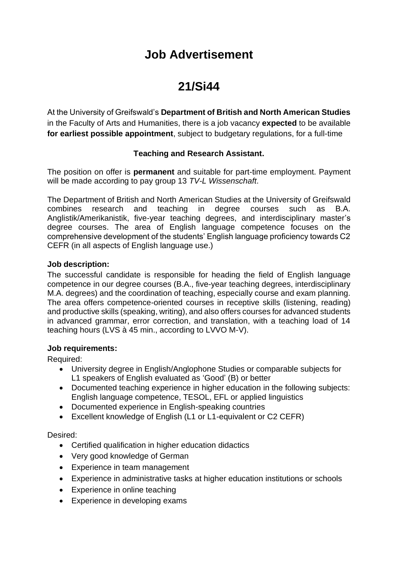## **Job Advertisement**

# **21/Si44**

At the University of Greifswald's **Department of British and North American Studies**  in the Faculty of Arts and Humanities, there is a job vacancy **expected** to be available **for earliest possible appointment**, subject to budgetary regulations, for a full-time

### **Teaching and Research Assistant.**

The position on offer is **permanent** and suitable for part-time employment. Payment will be made according to pay group 13 *TV-L Wissenschaft*.

The Department of British and North American Studies at the University of Greifswald combines research and teaching in degree courses such as B.A. Anglistik/Amerikanistik, five-year teaching degrees, and interdisciplinary master's degree courses. The area of English language competence focuses on the comprehensive development of the students' English language proficiency towards C2 CEFR (in all aspects of English language use.)

#### **Job description:**

The successful candidate is responsible for heading the field of English language competence in our degree courses (B.A., five-year teaching degrees, interdisciplinary M.A. degrees) and the coordination of teaching, especially course and exam planning. The area offers competence-oriented courses in receptive skills (listening, reading) and productive skills (speaking, writing), and also offers courses for advanced students in advanced grammar, error correction, and translation, with a teaching load of 14 teaching hours (LVS à 45 min., according to LVVO M-V).

#### **Job requirements:**

Required:

- University degree in English/Anglophone Studies or comparable subjects for L1 speakers of English evaluated as 'Good' (B) or better
- Documented teaching experience in higher education in the following subjects: English language competence, TESOL, EFL or applied linguistics
- Documented experience in English-speaking countries
- Excellent knowledge of English (L1 or L1-equivalent or C2 CEFR)

#### Desired:

- Certified qualification in higher education didactics
- Very good knowledge of German
- Experience in team management
- Experience in administrative tasks at higher education institutions or schools
- Experience in online teaching
- Experience in developing exams